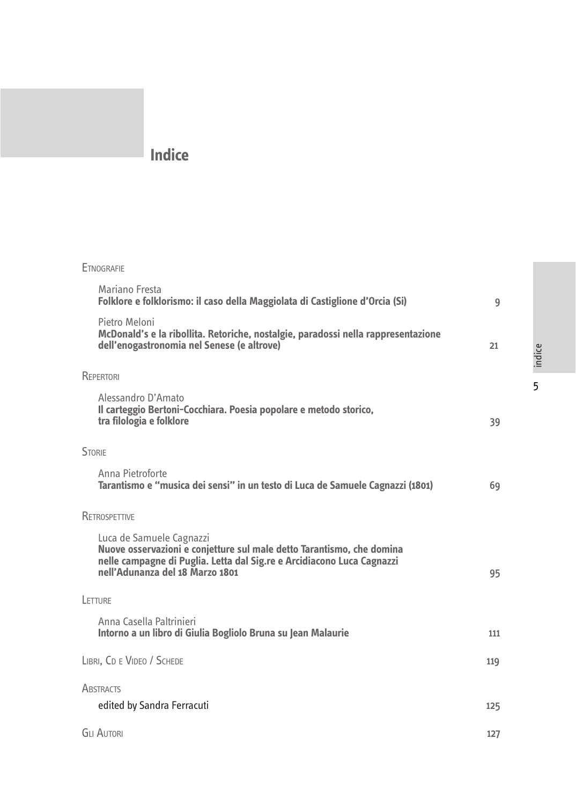# **Indice**

| <b>ETNOGRAFIE</b>                                                                                                                                                                                              |     |        |
|----------------------------------------------------------------------------------------------------------------------------------------------------------------------------------------------------------------|-----|--------|
| Mariano Fresta<br>Folklore e folklorismo: il caso della Maggiolata di Castiglione d'Orcia (Si)                                                                                                                 | 9   |        |
| Pietro Meloni<br>McDonald's e la ribollita. Retoriche, nostalgie, paradossi nella rappresentazione<br>dell'enogastronomia nel Senese (e altrove)                                                               | 21  | indice |
| REPERTORI                                                                                                                                                                                                      |     | 5      |
| Alessandro D'Amato<br>Il carteggio Bertoni-Cocchiara. Poesia popolare e metodo storico,<br>tra filologia e folklore                                                                                            | 39  |        |
| <b>STORIE</b>                                                                                                                                                                                                  |     |        |
| Anna Pietroforte<br>Tarantismo e "musica dei sensi" in un testo di Luca de Samuele Cagnazzi (1801)                                                                                                             | 69  |        |
| <b>RETROSPETTIVE</b>                                                                                                                                                                                           |     |        |
| Luca de Samuele Cagnazzi<br>Nuove osservazioni e conjetture sul male detto Tarantismo, che domina<br>nelle campagne di Puglia. Letta dal Sig.re e Arcidiacono Luca Cagnazzi<br>nell'Adunanza del 18 Marzo 1801 | 95  |        |
| LETTURE                                                                                                                                                                                                        |     |        |
| Anna Casella Paltrinieri<br>Intorno a un libro di Giulia Bogliolo Bruna su Jean Malaurie                                                                                                                       | 111 |        |
| LIBRI, CD E VIDEO / SCHEDE                                                                                                                                                                                     | 119 |        |
| <b>ABSTRACTS</b>                                                                                                                                                                                               |     |        |
| edited by Sandra Ferracuti                                                                                                                                                                                     | 125 |        |
| <b>GLI AUTORI</b>                                                                                                                                                                                              | 127 |        |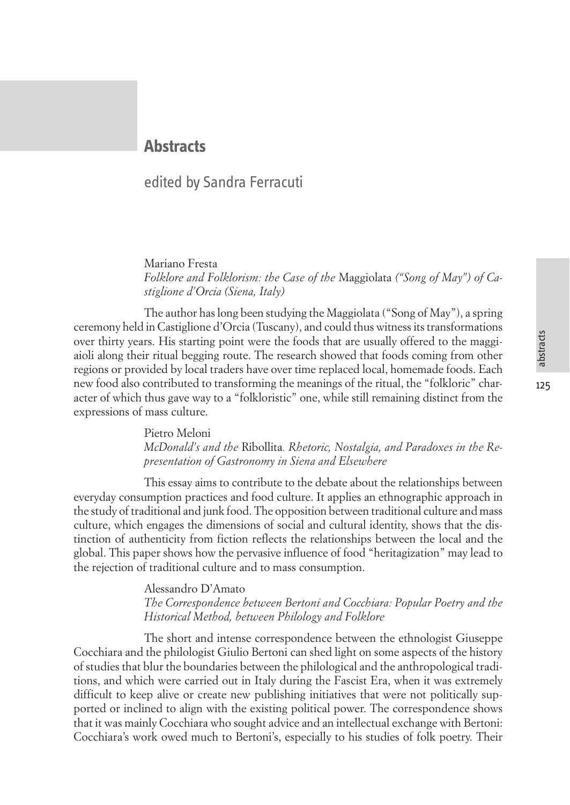## **Abstracts**

### edited by Sandra Ferracuti

Mariano Fresta *Folklore and Folklorism: the Case of the* Maggiolata *("Song of May") of Castiglione d'Orcia (Siena, Italy)*

The author has long been studying the Maggiolata ("Song of May"), a spring ceremony held in Castiglione d'Orcia (Tuscany), and could thus witness its transformations over thirty years. His starting point were the foods that are usually offered to the maggiaioli along their ritual begging route. The research showed that foods coming from other regions or provided by local traders have over time replaced local, homemade foods. Each new food also contributed to transforming the meanings of the ritual, the "folkloric" character of which thus gave way to a "folkloristic" one, while still remaining distinct from the expressions of mass culture.

> Pietro Meloni *McDonald's and the* Ribollita*. Rhetoric, Nostalgia, and Paradoxes in the Representation of Gastronomy in Siena and Elsewhere*

This essay aims to contribute to the debate about the relationships between everyday consumption practices and food culture. It applies an ethnographic approach in the study of traditional and junk food. The opposition between traditional culture and mass culture, which engages the dimensions of social and cultural identity, shows that the distinction of authenticity from fiction reflects the relationships between the local and the global. This paper shows how the pervasive influence of food "heritagization" may lead to the rejection of traditional culture and to mass consumption.

#### Alessandro D'Amato *The Correspondence between Bertoni and Cocchiara: Popular Poetry and the Historical Method, between Philology and Folklore*

The short and intense correspondence between the ethnologist Giuseppe Cocchiara and the philologist Giulio Bertoni can shed light on some aspects of the history of studies that blur the boundaries between the philological and the anthropological traditions, and which were carried out in Italy during the Fascist Era, when it was extremely difficult to keep alive or create new publishing initiatives that were not politically supported or inclined to align with the existing political power. The correspondence shows that it was mainly Cocchiara who sought advice and an intellectual exchange with Bertoni: Cocchiara's work owed much to Bertoni's, especially to his studies of folk poetry. Their